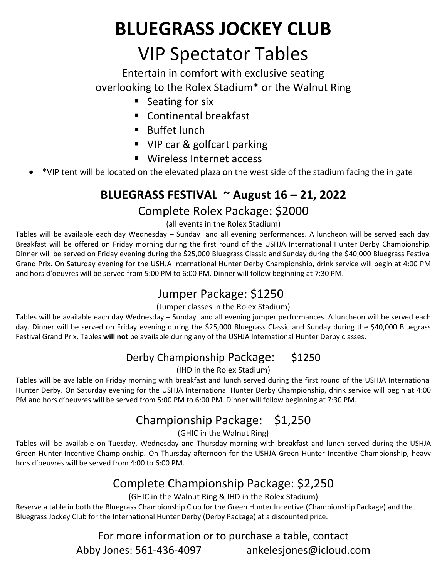# **BLUEGRASS JOCKEY CLUB** VIP Spectator Tables

Entertain in comfort with exclusive seating overlooking to the Rolex Stadium\* or the Walnut Ring

- Seating for six
- Continental breakfast
- Buffet lunch
- VIP car & golfcart parking
- Wireless Internet access
- \*VIP tent will be located on the elevated plaza on the west side of the stadium facing the in gate

## **BLUEGRASS FESTIVAL ~ August 16 – 21, 2022**

### Complete Rolex Package: \$2000

#### (all events in the Rolex Stadium)

Tables will be available each day Wednesday – Sunday and all evening performances. A luncheon will be served each day. Breakfast will be offered on Friday morning during the first round of the USHJA International Hunter Derby Championship. Dinner will be served on Friday evening during the \$25,000 Bluegrass Classic and Sunday during the \$40,000 Bluegrass Festival Grand Prix. On Saturday evening for the USHJA International Hunter Derby Championship, drink service will begin at 4:00 PM and hors d'oeuvres will be served from 5:00 PM to 6:00 PM. Dinner will follow beginning at 7:30 PM.

## Jumper Package: \$1250

#### (Jumper classes in the Rolex Stadium)

Tables will be available each day Wednesday – Sunday and all evening jumper performances. A luncheon will be served each day. Dinner will be served on Friday evening during the \$25,000 Bluegrass Classic and Sunday during the \$40,000 Bluegrass Festival Grand Prix. Tables **will not** be available during any of the USHJA International Hunter Derby classes.

## Derby Championship Package: \$1250

(IHD in the Rolex Stadium)

Tables will be available on Friday morning with breakfast and lunch served during the first round of the USHJA International Hunter Derby. On Saturday evening for the USHJA International Hunter Derby Championship, drink service will begin at 4:00 PM and hors d'oeuvres will be served from 5:00 PM to 6:00 PM. Dinner will follow beginning at 7:30 PM.

## Championship Package: \$1,250

(GHIC in the Walnut Ring)

Tables will be available on Tuesday, Wednesday and Thursday morning with breakfast and lunch served during the USHJA Green Hunter Incentive Championship. On Thursday afternoon for the USHJA Green Hunter Incentive Championship, heavy hors d'oeuvres will be served from 4:00 to 6:00 PM.

## Complete Championship Package: \$2,250

(GHIC in the Walnut Ring & IHD in the Rolex Stadium)

Reserve a table in both the Bluegrass Championship Club for the Green Hunter Incentive (Championship Package) and the Bluegrass Jockey Club for the International Hunter Derby (Derby Package) at a discounted price.

> For more information or to purchase a table, contact Abby Jones: 561-436-4097 ankelesjones@icloud.com